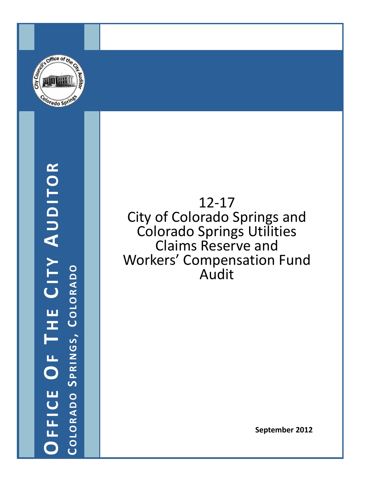

OFFICE OF THE CITY AUDITOR **OFFICE OF T H E C ITY A UDITOR** COLORADO SPRINGS, COLORADO **COLORADO S PRINGS , C OLORADO**

12 ‐17 City of Colorado Springs and Colorado Springs Utilities Claims Reserve and Workers' Compensation Fund Audit

**September 2012**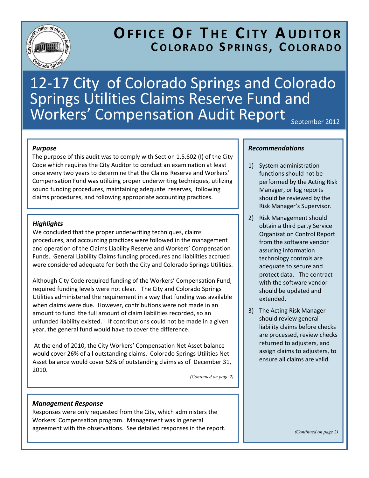

# **OFFICE OF T H E C ITY A UDITOR COLORADO S PRINGS , C OLORADO**

# 12‐17 City of Colorado Springs and Colorado Springs Utilities Claims Reserve Fund and  $$

*Purpose* 

The purpose of this audit was to comply with Section 1.5.602 (I) of the City Code which requires the City Auditor to conduct an examination at least once every two years to determine that the Claims Reserve and Workers' Compensation Fund was utilizing proper underwriting techniques, utilizing sound funding procedures, maintaining adequate reserves, following claims procedures, and following appropriate accounting practices.

# *Highlights*

We concluded that the proper underwriting techniques, claims procedures, and accounting practices were followed in the management and operation of the Claims Liability Reserve and Workers' Compensation Funds. General Liability Claims funding procedures and liabilities accrued were considered adequate for both the City and Colorado Springs Utilities.

Although City Code required funding of the Workers' Compensation Fund, required funding levels were not clear. The City and Colorado Springs Utilities administered the requirement in a way that funding was available when claims were due. However, contributions were not made in an amount to fund the full amount of claim liabilities recorded, so an unfunded liability existed. If contributions could not be made in a given year, the general fund would have to cover the difference.

At the end of 2010, the City Workers' Compensation Net Asset balance would cover 26% of all outstanding claims. Colorado Springs Utilities Net Asset balance would cover 52% of outstanding claims as of December 31, 2010.

*(Continued on page 2)* 

## *Management Response*

Responses were only requested from the City, which administers the Workers' Compensation program. Management was in general agreement with the observations. See detailed responses in the report.

#### *Recommendations*

- 1) System administration functions should not be performed by the Acting Risk Manager, or log reports should be reviewed by the Risk Manager's Supervisor.
- 2) Risk Management should obtain a third party Service Organization Control Report from the software vendor assuring information technology controls are adequate to secure and protect data. The contract with the software vendor should be updated and extended.
- 3) The Acting Risk Manager should review general liability claims before checks are processed, review checks returned to adjusters, and assign claims to adjusters, to ensure all claims are valid.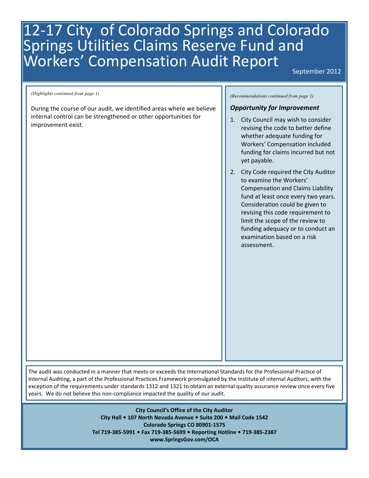# 12-17 City of Colorado Springs and Colorado Springs Utilities Claims Reserve Fund and Workers' Compensation Audit Report

September 2012

During the course of our audit, we identified areas where we believe internal control can be strengthened or other opportunities for improvement exist.

*(Recommendations continued from page 1) (Highlights continued from page 1)* 

#### *Opportunity for Improvement*

- 1. City Council may wish to consider revising the code to better define whether adequate funding for Workers' Compensation included funding for claims incurred but not yet payable.
- 2. City Code required the City Auditor to examine the Workers' Compensation and Claims Liability fund at least once every two years. Consideration could be given to revising this code requirement to limit the scope of the review to funding adequacy or to conduct an examination based on a risk assessment.

The audit was conducted in a manner that meets or exceeds the International Standards for the Professional Practice of Internal Auditing, a part of the Professional Practices Framework promulgated by the Institute of Internal Auditors, with the exception of the requirements under standards 1312 and 1321 to obtain an external quality assurance review once every five years. We do not believe this non‐compliance impacted the quality of our audit.

> **City Council's Office of the City Auditor City Hall 107 North Nevada Avenue Suite 200 Mail Code 1542 Colorado Springs CO 80901‐1575 Tel 719‐385‐5991 Fax 719‐385‐5699 Reporting Hotline 719‐385‐2387 www.SpringsGov.com/OCA**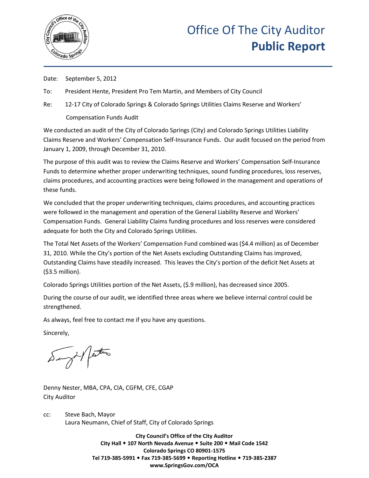

Date: September 5, 2012

To: President Hente, President Pro Tem Martin, and Members of City Council

Re: 12-17 City of Colorado Springs & Colorado Springs Utilities Claims Reserve and Workers' Compensation Funds Audit

We conducted an audit of the City of Colorado Springs (City) and Colorado Springs Utilities Liability Claims Reserve and Workers' Compensation Self-Insurance Funds. Our audit focused on the period from January 1, 2009, through December 31, 2010.

The purpose of this audit was to review the Claims Reserve and Workers' Compensation Self-Insurance Funds to determine whether proper underwriting techniques, sound funding procedures, loss reserves, claims procedures, and accounting practices were being followed in the management and operations of these funds.

We concluded that the proper underwriting techniques, claims procedures, and accounting practices were followed in the management and operation of the General Liability Reserve and Workers' Compensation Funds. General Liability Claims funding procedures and loss reserves were considered adequate for both the City and Colorado Springs Utilities.

The Total Net Assets of the Workers' Compensation Fund combined was (\$4.4 million) as of December 31, 2010. While the City's portion of the Net Assets excluding Outstanding Claims has improved, Outstanding Claims have steadily increased. This leaves the City's portion of the deficit Net Assets at (\$3.5 million).

Colorado Springs Utilities portion of the Net Assets, (\$.9 million), has decreased since 2005.

During the course of our audit, we identified three areas where we believe internal control could be strengthened.

As always, feel free to contact me if you have any questions.

Sincerely,

at perter

Denny Nester, MBA, CPA, CIA, CGFM, CFE, CGAP City Auditor

cc: Steve Bach, Mayor Laura Neumann, Chief of Staff, City of Colorado Springs

> **City Council's Office of the City Auditor City Hall 107 North Nevada Avenue Suite 200 Mail Code 1542 Colorado Springs CO 80901-1575 Tel 719-385-5991 Fax 719-385-5699 Reporting Hotline 719-385-2387 www.SpringsGov.com/OCA**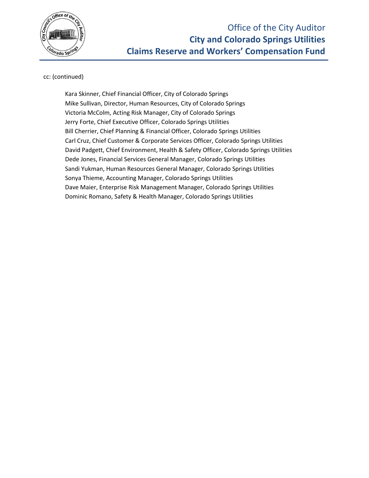

# cc: (continued)

Kara Skinner, Chief Financial Officer, City of Colorado Springs Mike Sullivan, Director, Human Resources, City of Colorado Springs Victoria McColm, Acting Risk Manager, City of Colorado Springs Jerry Forte, Chief Executive Officer, Colorado Springs Utilities Bill Cherrier, Chief Planning & Financial Officer, Colorado Springs Utilities Carl Cruz, Chief Customer & Corporate Services Officer, Colorado Springs Utilities David Padgett, Chief Environment, Health & Safety Officer, Colorado Springs Utilities Dede Jones, Financial Services General Manager, Colorado Springs Utilities Sandi Yukman, Human Resources General Manager, Colorado Springs Utilities Sonya Thieme, Accounting Manager, Colorado Springs Utilities Dave Maier, Enterprise Risk Management Manager, Colorado Springs Utilities Dominic Romano, Safety & Health Manager, Colorado Springs Utilities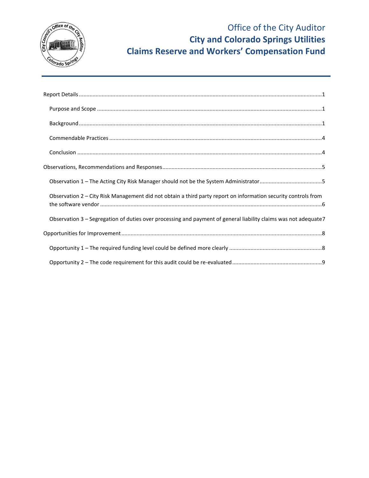

| ${\sf Background}\,\\$                                                                                          |
|-----------------------------------------------------------------------------------------------------------------|
|                                                                                                                 |
|                                                                                                                 |
|                                                                                                                 |
|                                                                                                                 |
| Observation 2 - City Risk Management did not obtain a third party report on information security controls from  |
| Observation 3 - Segregation of duties over processing and payment of general liability claims was not adequate7 |
|                                                                                                                 |
|                                                                                                                 |
|                                                                                                                 |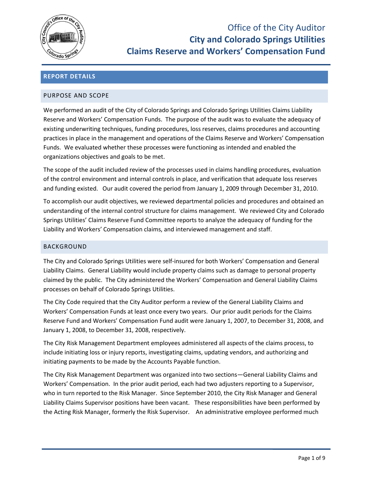

# <span id="page-7-0"></span>**REPORT DETAILS**

#### <span id="page-7-1"></span>PURPOSE AND SCOPE

We performed an audit of the City of Colorado Springs and Colorado Springs Utilities Claims Liability Reserve and Workers' Compensation Funds. The purpose of the audit was to evaluate the adequacy of existing underwriting techniques, funding procedures, loss reserves, claims procedures and accounting practices in place in the management and operations of the Claims Reserve and Workers' Compensation Funds. We evaluated whether these processes were functioning as intended and enabled the organizations objectives and goals to be met.

The scope of the audit included review of the processes used in claims handling procedures, evaluation of the control environment and internal controls in place, and verification that adequate loss reserves and funding existed. Our audit covered the period from January 1, 2009 through December 31, 2010.

To accomplish our audit objectives, we reviewed departmental policies and procedures and obtained an understanding of the internal control structure for claims management. We reviewed City and Colorado Springs Utilities' Claims Reserve Fund Committee reports to analyze the adequacy of funding for the Liability and Workers' Compensation claims, and interviewed management and staff.

#### <span id="page-7-2"></span>BACKGROUND

The City and Colorado Springs Utilities were self-insured for both Workers' Compensation and General Liability Claims. General Liability would include property claims such as damage to personal property claimed by the public. The City administered the Workers' Compensation and General Liability Claims processes on behalf of Colorado Springs Utilities.

The City Code required that the City Auditor perform a review of the General Liability Claims and Workers' Compensation Funds at least once every two years. Our prior audit periods for the Claims Reserve Fund and Workers' Compensation Fund audit were January 1, 2007, to December 31, 2008, and January 1, 2008, to December 31, 2008, respectively.

The City Risk Management Department employees administered all aspects of the claims process, to include initiating loss or injury reports, investigating claims, updating vendors, and authorizing and initiating payments to be made by the Accounts Payable function.

The City Risk Management Department was organized into two sections—General Liability Claims and Workers' Compensation. In the prior audit period, each had two adjusters reporting to a Supervisor, who in turn reported to the Risk Manager. Since September 2010, the City Risk Manager and General Liability Claims Supervisor positions have been vacant. These responsibilities have been performed by the Acting Risk Manager, formerly the Risk Supervisor. An administrative employee performed much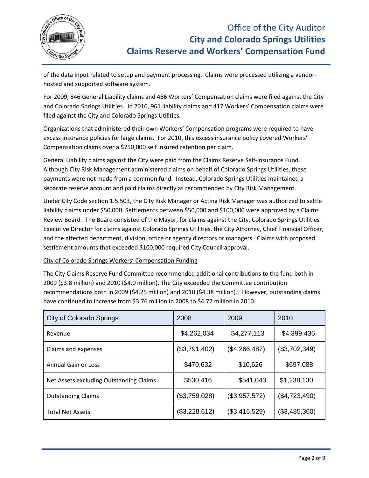

of the data input related to setup and payment processing. Claims were processed utilizing a vendorhosted and supported software system.

For 2009, 846 General Liability claims and 466 Workers' Compensation claims were filed against the City and Colorado Springs Utilities. In 2010, 961 liability claims and 417 Workers' Compensation claims were filed against the City and Colorado Springs Utilities.

Organizations that administered their own Workers' Compensation programs were required to have excess insurance policies for large claims. For 2010, this excess insurance policy covered Workers' Compensation claims over a \$750,000 self insured retention per claim.

General Liability claims against the City were paid from the Claims Reserve Self-Insurance Fund. Although City Risk Management administered claims on behalf of Colorado Springs Utilities, these payments were not made from a common fund. Instead, Colorado Springs Utilities maintained a separate reserve account and paid claims directly as recommended by City Risk Management.

Under City Code section 1.5.503, the City Risk Manager or Acting Risk Manager was authorized to settle liability claims under \$50,000. Settlements between \$50,000 and \$100,000 were approved by a Claims Review Board. The Board consisted of the Mayor, for claims against the City, Colorado Springs Utilities Executive Director for claims against Colorado Springs Utilities, the City Attorney, Chief Financial Officer, and the affected department, division, office or agency directors or managers. Claims with proposed settlement amounts that exceeded \$100,000 required City Council approval.

## City of Colorado Springs Workers' Compensation Funding

The City Claims Reserve Fund Committee recommended additional contributions to the fund both in 2009 (\$3.8 million) and 2010 (\$4.0 million). The City exceeded the Committee contribution recommendations both in 2009 (\$4.25 million) and 2010 (\$4.38 million). However, outstanding claims have continued to increase from \$3.76 million in 2008 to \$4.72 million in 2010.

| <b>City of Colorado Springs</b>         | 2008          | 2009          | 2010          |
|-----------------------------------------|---------------|---------------|---------------|
| Revenue                                 | \$4,262,034   | \$4,277,113   | \$4,399,436   |
| Claims and expenses                     | (\$3,791,402) | (\$4,266,487) | (\$3,702,349) |
| <b>Annual Gain or Loss</b>              | \$470,632     | \$10,626      | \$697,088     |
| Net Assets excluding Outstanding Claims | \$530,416     | \$541,043     | \$1,238,130   |
| <b>Outstanding Claims</b>               | (\$3,759,028) | (\$3,957,572) | (\$4,723,490) |
| <b>Total Net Assets</b>                 | (\$3,228,612) | (\$3,416,529) | (\$3,485,360) |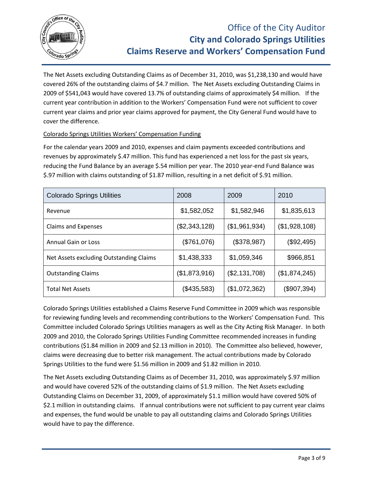

The Net Assets excluding Outstanding Claims as of December 31, 2010, was \$1,238,130 and would have covered 26% of the outstanding claims of \$4.7 million. The Net Assets excluding Outstanding Claims in 2009 of \$541,043 would have covered 13.7% of outstanding claims of approximately \$4 million. If the current year contribution in addition to the Workers' Compensation Fund were not sufficient to cover current year claims and prior year claims approved for payment, the City General Fund would have to cover the difference.

# Colorado Springs Utilities Workers' Compensation Funding

For the calendar years 2009 and 2010, expenses and claim payments exceeded contributions and revenues by approximately \$.47 million. This fund has experienced a net loss for the past six years, reducing the Fund Balance by an average \$.54 million per year. The 2010 year-end Fund Balance was \$.97 million with claims outstanding of \$1.87 million, resulting in a net deficit of \$.91 million.

| <b>Colorado Springs Utilities</b>       | 2008          | 2009          | 2010          |
|-----------------------------------------|---------------|---------------|---------------|
| Revenue                                 | \$1,582,052   | \$1,582,946   | \$1,835,613   |
| <b>Claims and Expenses</b>              | (\$2,343,128) | (\$1,961,934) | (\$1,928,108) |
| <b>Annual Gain or Loss</b>              | (\$761,076)   | (\$378,987)   | (\$92,495)    |
| Net Assets excluding Outstanding Claims | \$1,438,333   | \$1,059,346   | \$966,851     |
| <b>Outstanding Claims</b>               | (\$1,873,916) | (\$2,131,708) | (\$1,874,245) |
| <b>Total Net Assets</b>                 | (\$435,583)   | (\$1,072,362) | (\$907,394)   |

Colorado Springs Utilities established a Claims Reserve Fund Committee in 2009 which was responsible for reviewing funding levels and recommending contributions to the Workers' Compensation Fund. This Committee included Colorado Springs Utilities managers as well as the City Acting Risk Manager. In both 2009 and 2010, the Colorado Springs Utilities Funding Committee recommended increases in funding contributions (\$1.84 million in 2009 and \$2.13 million in 2010). The Committee also believed, however, claims were decreasing due to better risk management. The actual contributions made by Colorado Springs Utilities to the fund were \$1.56 million in 2009 and \$1.82 million in 2010.

The Net Assets excluding Outstanding Claims as of December 31, 2010, was approximately \$.97 million and would have covered 52% of the outstanding claims of \$1.9 million. The Net Assets excluding Outstanding Claims on December 31, 2009, of approximately \$1.1 million would have covered 50% of \$2.1 million in outstanding claims. If annual contributions were not sufficient to pay current year claims and expenses, the fund would be unable to pay all outstanding claims and Colorado Springs Utilities would have to pay the difference.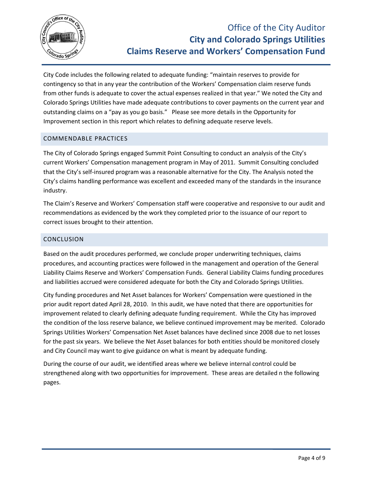

City Code includes the following related to adequate funding: "maintain reserves to provide for contingency so that in any year the contribution of the Workers' Compensation claim reserve funds from other funds is adequate to cover the actual expenses realized in that year." We noted the City and Colorado Springs Utilities have made adequate contributions to cover payments on the current year and outstanding claims on a "pay as you go basis." Please see more details in the Opportunity for Improvement section in this report which relates to defining adequate reserve levels.

# <span id="page-10-0"></span>COMMENDABLE PRACTICES

The City of Colorado Springs engaged Summit Point Consulting to conduct an analysis of the City's current Workers' Compensation management program in May of 2011. Summit Consulting concluded that the City's self-insured program was a reasonable alternative for the City. The Analysis noted the City's claims handling performance was excellent and exceeded many of the standards in the insurance industry.

The Claim's Reserve and Workers' Compensation staff were cooperative and responsive to our audit and recommendations as evidenced by the work they completed prior to the issuance of our report to correct issues brought to their attention.

## <span id="page-10-1"></span>CONCLUSION

Based on the audit procedures performed, we conclude proper underwriting techniques, claims procedures, and accounting practices were followed in the management and operation of the General Liability Claims Reserve and Workers' Compensation Funds. General Liability Claims funding procedures and liabilities accrued were considered adequate for both the City and Colorado Springs Utilities.

City funding procedures and Net Asset balances for Workers' Compensation were questioned in the prior audit report dated April 28, 2010. In this audit, we have noted that there are opportunities for improvement related to clearly defining adequate funding requirement. While the City has improved the condition of the loss reserve balance, we believe continued improvement may be merited. Colorado Springs Utilities Workers' Compensation Net Asset balances have declined since 2008 due to net losses for the past six years. We believe the Net Asset balances for both entities should be monitored closely and City Council may want to give guidance on what is meant by adequate funding.

During the course of our audit, we identified areas where we believe internal control could be strengthened along with two opportunities for improvement. These areas are detailed n the following pages.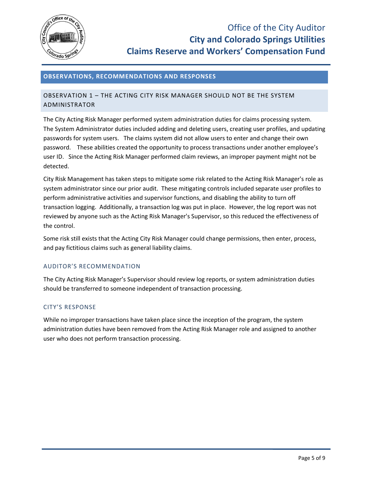

## <span id="page-11-0"></span>**OBSERVATIONS, RECOMMENDATIONS AND RESPONSES**

# <span id="page-11-1"></span>OBSERVATION 1 – THE ACTING CITY RISK MANAGER SHOULD NOT BE THE SYSTEM ADMINISTRATOR

The City Acting Risk Manager performed system administration duties for claims processing system. The System Administrator duties included adding and deleting users, creating user profiles, and updating passwords for system users. The claims system did not allow users to enter and change their own password. These abilities created the opportunity to process transactions under another employee's user ID. Since the Acting Risk Manager performed claim reviews, an improper payment might not be detected.

City Risk Management has taken steps to mitigate some risk related to the Acting Risk Manager's role as system administrator since our prior audit. These mitigating controls included separate user profiles to perform administrative activities and supervisor functions, and disabling the ability to turn off transaction logging. Additionally, a transaction log was put in place. However, the log report was not reviewed by anyone such as the Acting Risk Manager's Supervisor, so this reduced the effectiveness of the control.

Some risk still exists that the Acting City Risk Manager could change permissions, then enter, process, and pay fictitious claims such as general liability claims.

## AUDITOR'S RECOMMENDATION

The City Acting Risk Manager's Supervisor should review log reports, or system administration duties should be transferred to someone independent of transaction processing.

#### CITY'S RESPONSE

While no improper transactions have taken place since the inception of the program, the system administration duties have been removed from the Acting Risk Manager role and assigned to another user who does not perform transaction processing.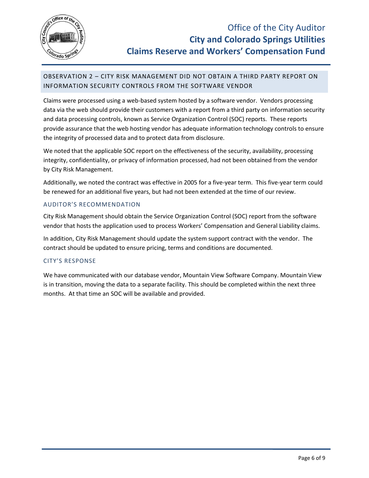

# <span id="page-12-0"></span>OBSERVATION 2 – CITY RISK MANAGEMENT DID NOT OBTAIN A THIRD PARTY REPORT ON INFORMATION SECURITY CONTROLS FROM THE SOFTWARE VENDOR

Claims were processed using a web-based system hosted by a software vendor. Vendors processing data via the web should provide their customers with a report from a third party on information security and data processing controls, known as Service Organization Control (SOC) reports. These reports provide assurance that the web hosting vendor has adequate information technology controls to ensure the integrity of processed data and to protect data from disclosure.

We noted that the applicable SOC report on the effectiveness of the security, availability, processing integrity, confidentiality, or privacy of information processed, had not been obtained from the vendor by City Risk Management.

Additionally, we noted the contract was effective in 2005 for a five-year term. This five-year term could be renewed for an additional five years, but had not been extended at the time of our review.

# AUDITOR'S RECOMMENDATION

City Risk Management should obtain the Service Organization Control (SOC) report from the software vendor that hosts the application used to process Workers' Compensation and General Liability claims.

In addition, City Risk Management should update the system support contract with the vendor. The contract should be updated to ensure pricing, terms and conditions are documented.

## CITY'S RESPONSE

We have communicated with our database vendor, Mountain View Software Company. Mountain View is in transition, moving the data to a separate facility. This should be completed within the next three months. At that time an SOC will be available and provided.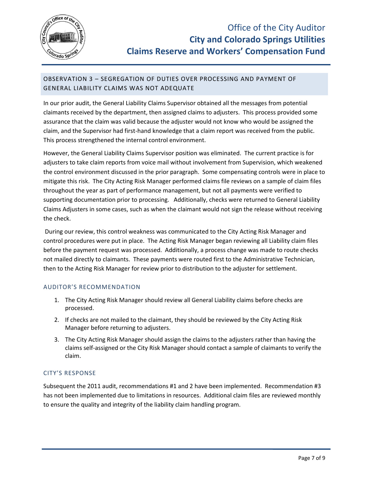

# <span id="page-13-0"></span>OBSERVATION 3 – SEGREGATION OF DUTIES OVER PROCESSING AND PAYMENT OF GENERAL LIABILITY CLAIMS WAS NOT ADEQUATE

In our prior audit, the General Liability Claims Supervisor obtained all the messages from potential claimants received by the department, then assigned claims to adjusters. This process provided some assurance that the claim was valid because the adjuster would not know who would be assigned the claim, and the Supervisor had first-hand knowledge that a claim report was received from the public. This process strengthened the internal control environment.

However, the General Liability Claims Supervisor position was eliminated. The current practice is for adjusters to take claim reports from voice mail without involvement from Supervision, which weakened the control environment discussed in the prior paragraph. Some compensating controls were in place to mitigate this risk. The City Acting Risk Manager performed claims file reviews on a sample of claim files throughout the year as part of performance management, but not all payments were verified to supporting documentation prior to processing. Additionally, checks were returned to General Liability Claims Adjusters in some cases, such as when the claimant would not sign the release without receiving the check.

During our review, this control weakness was communicated to the City Acting Risk Manager and control procedures were put in place. The Acting Risk Manager began reviewing all Liability claim files before the payment request was processed. Additionally, a process change was made to route checks not mailed directly to claimants. These payments were routed first to the Administrative Technician, then to the Acting Risk Manager for review prior to distribution to the adjuster for settlement.

## AUDITOR'S RECOMMENDATION

- 1. The City Acting Risk Manager should review all General Liability claims before checks are processed.
- 2. If checks are not mailed to the claimant, they should be reviewed by the City Acting Risk Manager before returning to adjusters.
- 3. The City Acting Risk Manager should assign the claims to the adjusters rather than having the claims self-assigned or the City Risk Manager should contact a sample of claimants to verify the claim.

## CITY'S RESPONSE

Subsequent the 2011 audit, recommendations #1 and 2 have been implemented. Recommendation #3 has not been implemented due to limitations in resources. Additional claim files are reviewed monthly to ensure the quality and integrity of the liability claim handling program.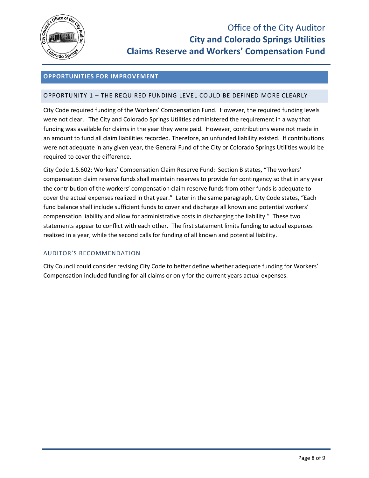

## <span id="page-14-0"></span>**OPPORTUNITIES FOR IMPROVEMENT**

#### <span id="page-14-1"></span>OPPORTUNITY 1 – THE REQUIRED FUNDING LEVEL COULD BE DEFINED MORE CLEARLY

City Code required funding of the Workers' Compensation Fund. However, the required funding levels were not clear. The City and Colorado Springs Utilities administered the requirement in a way that funding was available for claims in the year they were paid. However, contributions were not made in an amount to fund all claim liabilities recorded. Therefore, an unfunded liability existed. If contributions were not adequate in any given year, the General Fund of the City or Colorado Springs Utilities would be required to cover the difference.

City Code 1.5.602: Workers' Compensation Claim Reserve Fund: Section B states, "The workers' compensation claim reserve funds shall maintain reserves to provide for contingency so that in any year the contribution of the workers' compensation claim reserve funds from other funds is adequate to cover the actual expenses realized in that year." Later in the same paragraph, City Code states, "Each fund balance shall include sufficient funds to cover and discharge all known and potential workers' compensation liability and allow for administrative costs in discharging the liability." These two statements appear to conflict with each other. The first statement limits funding to actual expenses realized in a year, while the second calls for funding of all known and potential liability.

## AUDITOR'S RECOMMENDATION

City Council could consider revising City Code to better define whether adequate funding for Workers' Compensation included funding for all claims or only for the current years actual expenses.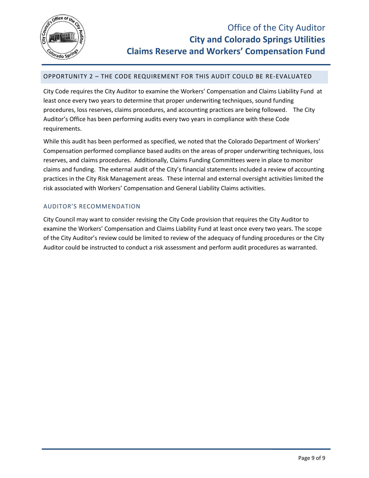

# <span id="page-15-0"></span>OPPORTUNITY 2 – THE CODE REQUIREMENT FOR THIS AUDIT COULD BE RE-EVALUATED

City Code requires the City Auditor to examine the Workers' Compensation and Claims Liability Fund at least once every two years to determine that proper underwriting techniques, sound funding procedures, loss reserves, claims procedures, and accounting practices are being followed. The City Auditor's Office has been performing audits every two years in compliance with these Code requirements.

While this audit has been performed as specified, we noted that the Colorado Department of Workers' Compensation performed compliance based audits on the areas of proper underwriting techniques, loss reserves, and claims procedures. Additionally, Claims Funding Committees were in place to monitor claims and funding. The external audit of the City's financial statements included a review of accounting practices in the City Risk Management areas. These internal and external oversight activities limited the risk associated with Workers' Compensation and General Liability Claims activities.

#### AUDITOR'S RECOMMENDATION

City Council may want to consider revising the City Code provision that requires the City Auditor to examine the Workers' Compensation and Claims Liability Fund at least once every two years. The scope of the City Auditor's review could be limited to review of the adequacy of funding procedures or the City Auditor could be instructed to conduct a risk assessment and perform audit procedures as warranted.